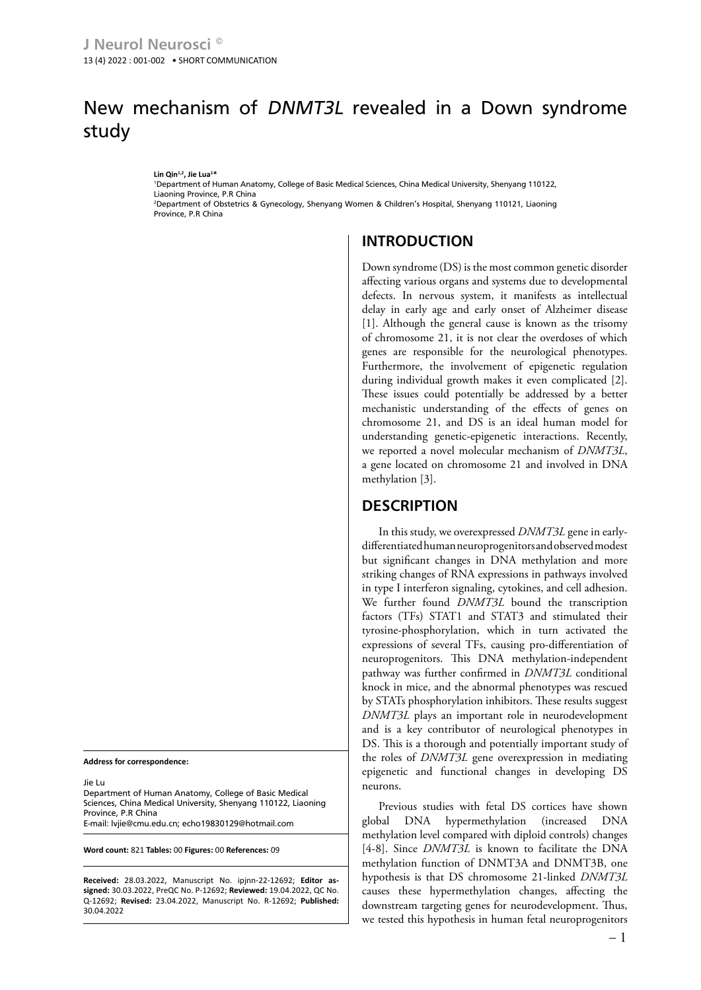## New mechanism of DNMT3L revealed in a Down syndrome study

**Lin Qin1,2, Jie Lua1 \***

1 Department of Human Anatomy, College of Basic Medical Sciences, China Medical University, Shenyang 110122, Liaoning Province, P.R China 2 Department of Obstetrics & Gynecology, Shenyang Women & Children's Hospital, Shenyang 110121, Liaoning

Province, P.R China

## **INTRODUCTION**

Down syndrome (DS) is the most common genetic disorder affecting various organs and systems due to developmental defects. In nervous system, it manifests as intellectual delay in early age and early onset of Alzheimer disease [1]. Although the general cause is known as the trisomy of chromosome 21, it is not clear the overdoses of which genes are responsible for the neurological phenotypes. Furthermore, the involvement of epigenetic regulation during individual growth makes it even complicated [2]. These issues could potentially be addressed by a better mechanistic understanding of the effects of genes on chromosome 21, and DS is an ideal human model for understanding genetic-epigenetic interactions. Recently, we reported a novel molecular mechanism of *DNMT3L*, a gene located on chromosome 21 and involved in DNA methylation [3].

## **DESCRIPTION**

In this study, we overexpressed *DNMT3L* gene in earlydifferentiated human neuroprogenitors and observed modest but significant changes in DNA methylation and more striking changes of RNA expressions in pathways involved in type I interferon signaling, cytokines, and cell adhesion. We further found *DNMT3L* bound the transcription factors (TFs) STAT1 and STAT3 and stimulated their tyrosine-phosphorylation, which in turn activated the expressions of several TFs, causing pro-differentiation of neuroprogenitors. This DNA methylation-independent pathway was further confirmed in *DNMT3L* conditional knock in mice, and the abnormal phenotypes was rescued by STATs phosphorylation inhibitors. These results suggest *DNMT3L* plays an important role in neurodevelopment and is a key contributor of neurological phenotypes in DS. This is a thorough and potentially important study of the roles of *DNMT3L* gene overexpression in mediating epigenetic and functional changes in developing DS neurons.

Previous studies with fetal DS cortices have shown global DNA hypermethylation (increased DNA methylation level compared with diploid controls) changes [4-8]. Since *DNMT3L* is known to facilitate the DNA methylation function of DNMT3A and DNMT3B, one hypothesis is that DS chromosome 21-linked *DNMT3L* causes these hypermethylation changes, affecting the downstream targeting genes for neurodevelopment. Thus, we tested this hypothesis in human fetal neuroprogenitors

**Address for correspondence:**

Jie Lu

Department of Human Anatomy, College of Basic Medical Sciences, China Medical University, Shenyang 110122, Liaoning Province, P.R China E-mail: [lvjie@cmu.edu.cn;](mailto:lvjie@cmu.edu.cn) echo19830129@hotmail.com

**Word count:** 821 **Tables:** 00 **Figures:** 00 **References:** 09

**Received:** 28.03.2022, Manuscript No. ipjnn-22-12692; **Editor assigned:** 30.03.2022, PreQC No. P-12692; **Reviewed:** 19.04.2022, QC No. Q-12692; **Revised:** 23.04.2022, Manuscript No. R-12692; **Published:** 30.04.2022